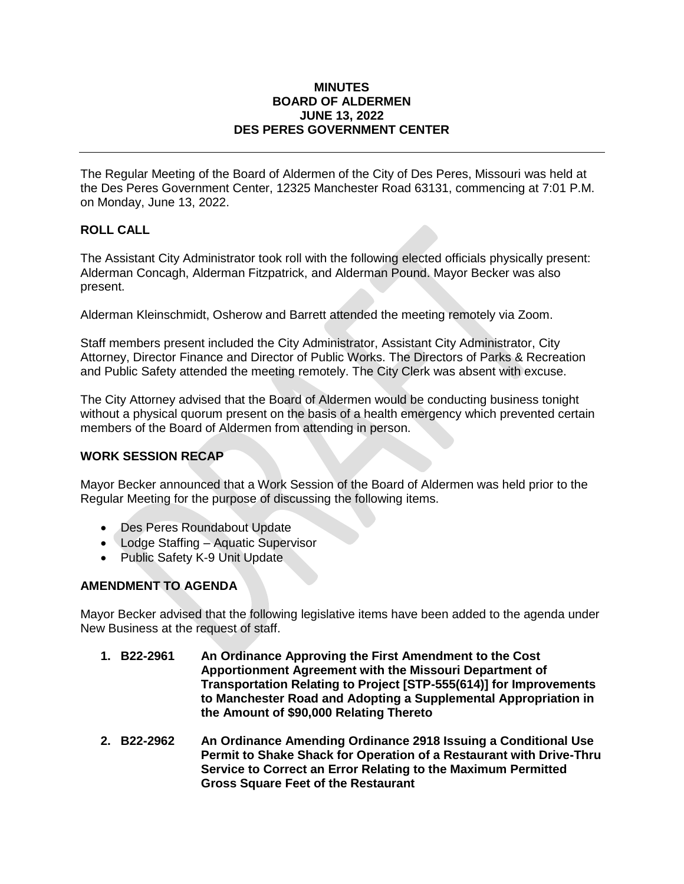#### **MINUTES BOARD OF ALDERMEN JUNE 13, 2022 DES PERES GOVERNMENT CENTER**

The Regular Meeting of the Board of Aldermen of the City of Des Peres, Missouri was held at the Des Peres Government Center, 12325 Manchester Road 63131, commencing at 7:01 P.M. on Monday, June 13, 2022.

# **ROLL CALL**

The Assistant City Administrator took roll with the following elected officials physically present: Alderman Concagh, Alderman Fitzpatrick, and Alderman Pound. Mayor Becker was also present.

Alderman Kleinschmidt, Osherow and Barrett attended the meeting remotely via Zoom.

Staff members present included the City Administrator, Assistant City Administrator, City Attorney, Director Finance and Director of Public Works. The Directors of Parks & Recreation and Public Safety attended the meeting remotely. The City Clerk was absent with excuse.

The City Attorney advised that the Board of Aldermen would be conducting business tonight without a physical quorum present on the basis of a health emergency which prevented certain members of the Board of Aldermen from attending in person.

## **WORK SESSION RECAP**

Mayor Becker announced that a Work Session of the Board of Aldermen was held prior to the Regular Meeting for the purpose of discussing the following items.

- Des Peres Roundabout Update
- Lodge Staffing Aquatic Supervisor
- Public Safety K-9 Unit Update

# **AMENDMENT TO AGENDA**

Mayor Becker advised that the following legislative items have been added to the agenda under New Business at the request of staff.

- **1. B22-2961 An Ordinance Approving the First Amendment to the Cost Apportionment Agreement with the Missouri Department of Transportation Relating to Project [STP-555(614)] for Improvements to Manchester Road and Adopting a Supplemental Appropriation in the Amount of \$90,000 Relating Thereto**
- **2. B22-2962 An Ordinance Amending Ordinance 2918 Issuing a Conditional Use Permit to Shake Shack for Operation of a Restaurant with Drive-Thru Service to Correct an Error Relating to the Maximum Permitted Gross Square Feet of the Restaurant**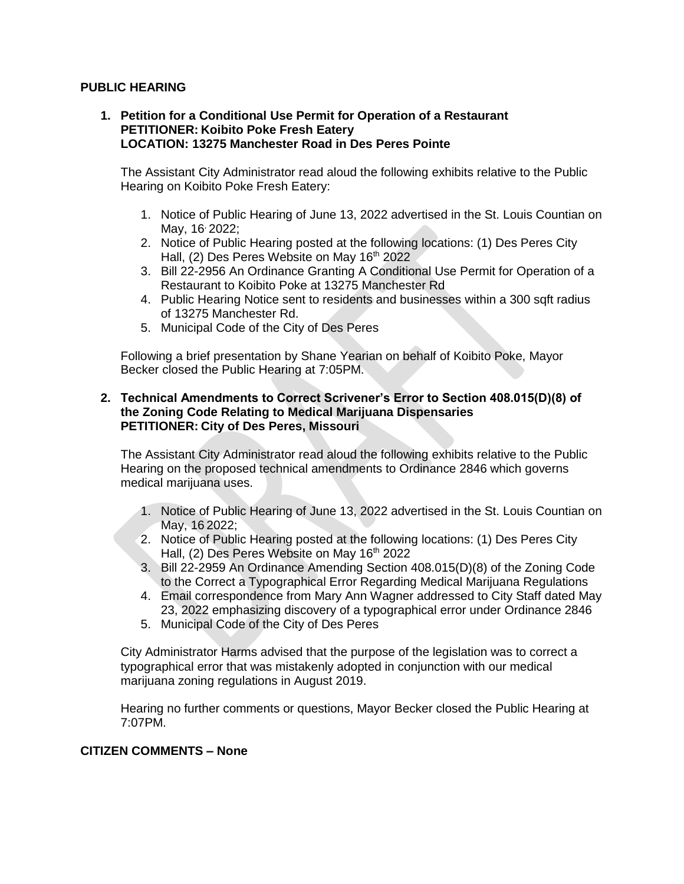### **PUBLIC HEARING**

#### **1. Petition for a Conditional Use Permit for Operation of a Restaurant PETITIONER: Koibito Poke Fresh Eatery LOCATION: 13275 Manchester Road in Des Peres Pointe**

The Assistant City Administrator read aloud the following exhibits relative to the Public Hearing on Koibito Poke Fresh Eatery:

- 1. Notice of Public Hearing of June 13, 2022 advertised in the St. Louis Countian on May, 16<sup>,</sup> 2022:
- 2. Notice of Public Hearing posted at the following locations: (1) Des Peres City Hall, (2) Des Peres Website on May 16<sup>th</sup> 2022
- 3. Bill 22-2956 An Ordinance Granting A Conditional Use Permit for Operation of a Restaurant to Koibito Poke at 13275 Manchester Rd
- 4. Public Hearing Notice sent to residents and businesses within a 300 sqft radius of 13275 Manchester Rd.
- 5. Municipal Code of the City of Des Peres

Following a brief presentation by Shane Yearian on behalf of Koibito Poke, Mayor Becker closed the Public Hearing at 7:05PM.

### **2. Technical Amendments to Correct Scrivener's Error to Section 408.015(D)(8) of the Zoning Code Relating to Medical Marijuana Dispensaries PETITIONER: City of Des Peres, Missouri**

The Assistant City Administrator read aloud the following exhibits relative to the Public Hearing on the proposed technical amendments to Ordinance 2846 which governs medical marijuana uses.

- 1. Notice of Public Hearing of June 13, 2022 advertised in the St. Louis Countian on May, 16 2022;
- 2. Notice of Public Hearing posted at the following locations: (1) Des Peres City Hall, (2) Des Peres Website on May 16<sup>th</sup> 2022
- 3. Bill 22-2959 An Ordinance Amending Section 408.015(D)(8) of the Zoning Code to the Correct a Typographical Error Regarding Medical Marijuana Regulations
- 4. Email correspondence from Mary Ann Wagner addressed to City Staff dated May 23, 2022 emphasizing discovery of a typographical error under Ordinance 2846
- 5. Municipal Code of the City of Des Peres

City Administrator Harms advised that the purpose of the legislation was to correct a typographical error that was mistakenly adopted in conjunction with our medical marijuana zoning regulations in August 2019.

Hearing no further comments or questions, Mayor Becker closed the Public Hearing at 7:07PM.

## **CITIZEN COMMENTS – None**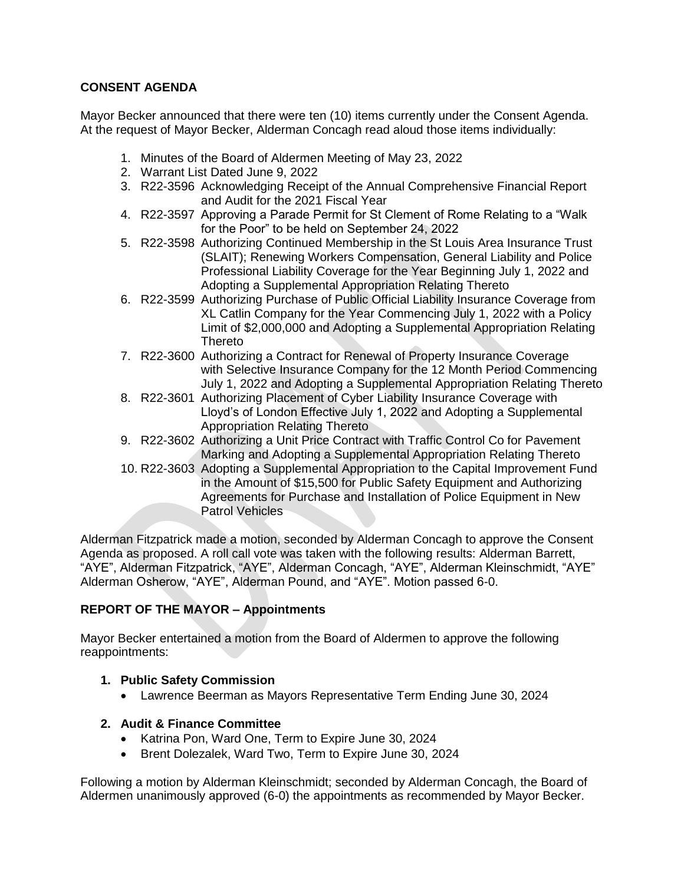# **CONSENT AGENDA**

Mayor Becker announced that there were ten (10) items currently under the Consent Agenda. At the request of Mayor Becker, Alderman Concagh read aloud those items individually:

- 1. Minutes of the Board of Aldermen Meeting of May 23, 2022
- 2. Warrant List Dated June 9, 2022
- 3. R22-3596 Acknowledging Receipt of the Annual Comprehensive Financial Report and Audit for the 2021 Fiscal Year
- 4. R22-3597 Approving a Parade Permit for St Clement of Rome Relating to a "Walk for the Poor" to be held on September 24, 2022
- 5. R22-3598 Authorizing Continued Membership in the St Louis Area Insurance Trust (SLAIT); Renewing Workers Compensation, General Liability and Police Professional Liability Coverage for the Year Beginning July 1, 2022 and Adopting a Supplemental Appropriation Relating Thereto
- 6. R22-3599 Authorizing Purchase of Public Official Liability Insurance Coverage from XL Catlin Company for the Year Commencing July 1, 2022 with a Policy Limit of \$2,000,000 and Adopting a Supplemental Appropriation Relating Thereto
- 7. R22-3600 Authorizing a Contract for Renewal of Property Insurance Coverage with Selective Insurance Company for the 12 Month Period Commencing July 1, 2022 and Adopting a Supplemental Appropriation Relating Thereto
- 8. R22-3601 Authorizing Placement of Cyber Liability Insurance Coverage with Lloyd's of London Effective July 1, 2022 and Adopting a Supplemental Appropriation Relating Thereto
- 9. R22-3602 Authorizing a Unit Price Contract with Traffic Control Co for Pavement Marking and Adopting a Supplemental Appropriation Relating Thereto
- 10. R22-3603 Adopting a Supplemental Appropriation to the Capital Improvement Fund in the Amount of \$15,500 for Public Safety Equipment and Authorizing Agreements for Purchase and Installation of Police Equipment in New Patrol Vehicles

Alderman Fitzpatrick made a motion, seconded by Alderman Concagh to approve the Consent Agenda as proposed. A roll call vote was taken with the following results: Alderman Barrett, "AYE", Alderman Fitzpatrick, "AYE", Alderman Concagh, "AYE", Alderman Kleinschmidt, "AYE" Alderman Osherow, "AYE", Alderman Pound, and "AYE". Motion passed 6-0.

# **REPORT OF THE MAYOR – Appointments**

Mayor Becker entertained a motion from the Board of Aldermen to approve the following reappointments:

# **1. Public Safety Commission**

Lawrence Beerman as Mayors Representative Term Ending June 30, 2024

## **2. Audit & Finance Committee**

- Katrina Pon, Ward One, Term to Expire June 30, 2024
- Brent Dolezalek, Ward Two, Term to Expire June 30, 2024

Following a motion by Alderman Kleinschmidt; seconded by Alderman Concagh, the Board of Aldermen unanimously approved (6-0) the appointments as recommended by Mayor Becker.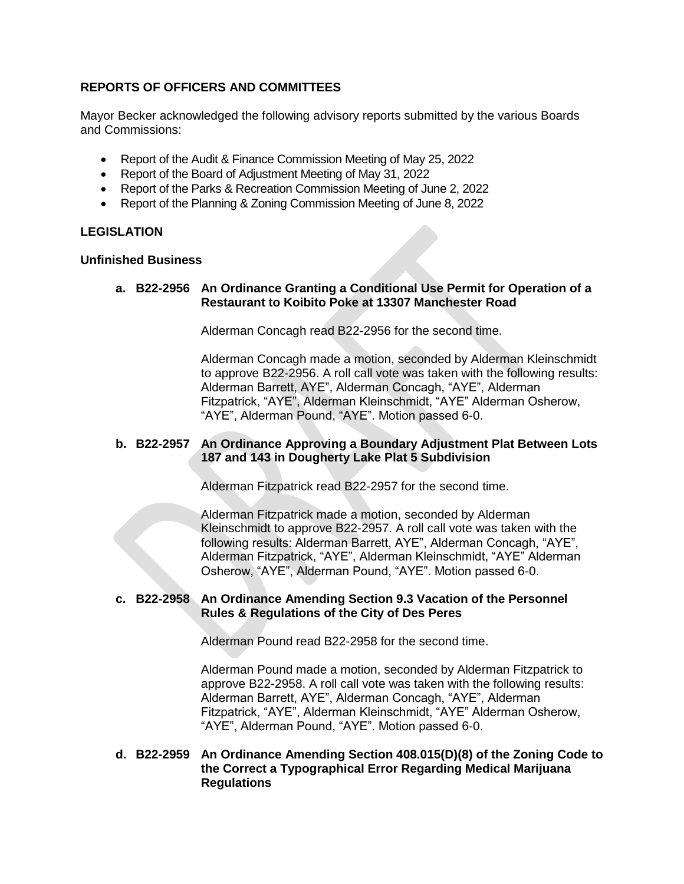# **REPORTS OF OFFICERS AND COMMITTEES**

Mayor Becker acknowledged the following advisory reports submitted by the various Boards and Commissions:

- Report of the Audit & Finance Commission Meeting of May 25, 2022
- Report of the Board of Adjustment Meeting of May 31, 2022
- Report of the Parks & Recreation Commission Meeting of June 2, 2022
- Report of the Planning & Zoning Commission Meeting of June 8, 2022

### **LEGISLATION**

#### **Unfinished Business**

### **a. B22-2956 An Ordinance Granting a Conditional Use Permit for Operation of a Restaurant to Koibito Poke at 13307 Manchester Road**

Alderman Concagh read B22-2956 for the second time.

Alderman Concagh made a motion, seconded by Alderman Kleinschmidt to approve B22-2956. A roll call vote was taken with the following results: Alderman Barrett, AYE", Alderman Concagh, "AYE", Alderman Fitzpatrick, "AYE", Alderman Kleinschmidt, "AYE" Alderman Osherow, "AYE", Alderman Pound, "AYE". Motion passed 6-0.

### **b. B22-2957 An Ordinance Approving a Boundary Adjustment Plat Between Lots 187 and 143 in Dougherty Lake Plat 5 Subdivision**

Alderman Fitzpatrick read B22-2957 for the second time.

Alderman Fitzpatrick made a motion, seconded by Alderman Kleinschmidt to approve B22-2957. A roll call vote was taken with the following results: Alderman Barrett, AYE", Alderman Concagh, "AYE", Alderman Fitzpatrick, "AYE", Alderman Kleinschmidt, "AYE" Alderman Osherow, "AYE", Alderman Pound, "AYE". Motion passed 6-0.

#### **c. B22-2958 An Ordinance Amending Section 9.3 Vacation of the Personnel Rules & Regulations of the City of Des Peres**

Alderman Pound read B22-2958 for the second time.

Alderman Pound made a motion, seconded by Alderman Fitzpatrick to approve B22-2958. A roll call vote was taken with the following results: Alderman Barrett, AYE", Alderman Concagh, "AYE", Alderman Fitzpatrick, "AYE", Alderman Kleinschmidt, "AYE" Alderman Osherow, "AYE", Alderman Pound, "AYE". Motion passed 6-0.

### **d. B22-2959 An Ordinance Amending Section 408.015(D)(8) of the Zoning Code to the Correct a Typographical Error Regarding Medical Marijuana Regulations**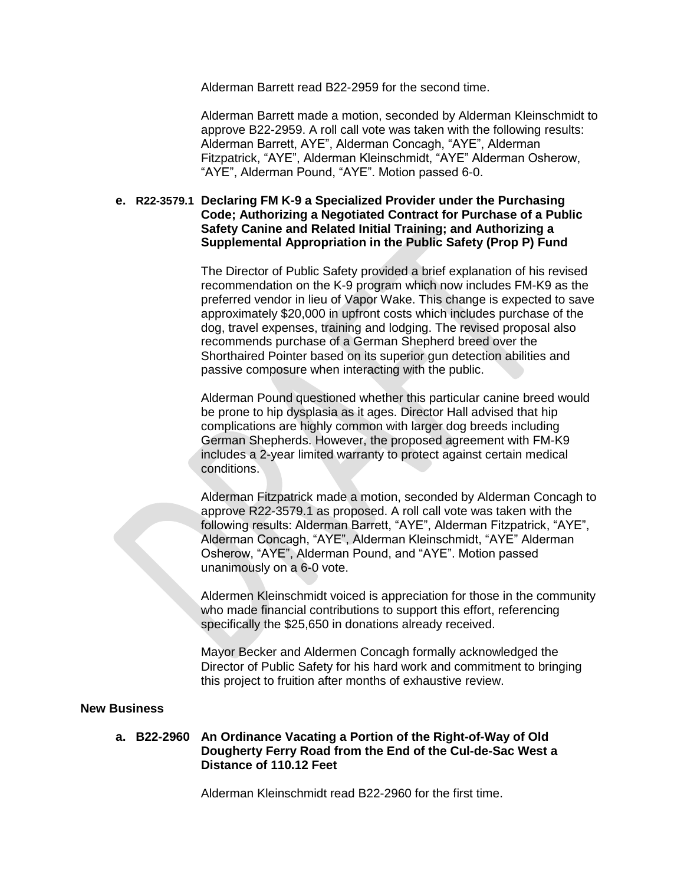Alderman Barrett read B22-2959 for the second time.

Alderman Barrett made a motion, seconded by Alderman Kleinschmidt to approve B22-2959. A roll call vote was taken with the following results: Alderman Barrett, AYE", Alderman Concagh, "AYE", Alderman Fitzpatrick, "AYE", Alderman Kleinschmidt, "AYE" Alderman Osherow, "AYE", Alderman Pound, "AYE". Motion passed 6-0.

### **e. R22-3579.1 Declaring FM K-9 a Specialized Provider under the Purchasing Code; Authorizing a Negotiated Contract for Purchase of a Public Safety Canine and Related Initial Training; and Authorizing a Supplemental Appropriation in the Public Safety (Prop P) Fund**

The Director of Public Safety provided a brief explanation of his revised recommendation on the K-9 program which now includes FM-K9 as the preferred vendor in lieu of Vapor Wake. This change is expected to save approximately \$20,000 in upfront costs which includes purchase of the dog, travel expenses, training and lodging. The revised proposal also recommends purchase of a German Shepherd breed over the Shorthaired Pointer based on its superior gun detection abilities and passive composure when interacting with the public.

Alderman Pound questioned whether this particular canine breed would be prone to hip dysplasia as it ages. Director Hall advised that hip complications are highly common with larger dog breeds including German Shepherds. However, the proposed agreement with FM-K9 includes a 2-year limited warranty to protect against certain medical conditions.

Alderman Fitzpatrick made a motion, seconded by Alderman Concagh to approve R22-3579.1 as proposed. A roll call vote was taken with the following results: Alderman Barrett, "AYE", Alderman Fitzpatrick, "AYE", Alderman Concagh, "AYE", Alderman Kleinschmidt, "AYE" Alderman Osherow, "AYE", Alderman Pound, and "AYE". Motion passed unanimously on a 6-0 vote.

Aldermen Kleinschmidt voiced is appreciation for those in the community who made financial contributions to support this effort, referencing specifically the \$25,650 in donations already received.

Mayor Becker and Aldermen Concagh formally acknowledged the Director of Public Safety for his hard work and commitment to bringing this project to fruition after months of exhaustive review.

#### **New Business**

**a. B22-2960 An Ordinance Vacating a Portion of the Right-of-Way of Old Dougherty Ferry Road from the End of the Cul-de-Sac West a Distance of 110.12 Feet** 

Alderman Kleinschmidt read B22-2960 for the first time.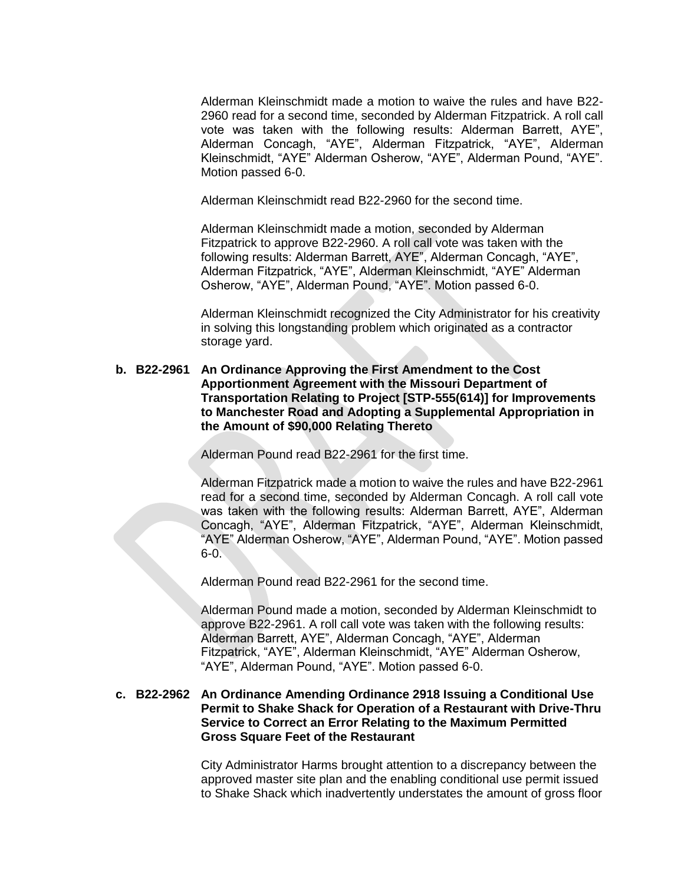Alderman Kleinschmidt made a motion to waive the rules and have B22- 2960 read for a second time, seconded by Alderman Fitzpatrick. A roll call vote was taken with the following results: Alderman Barrett, AYE", Alderman Concagh, "AYE", Alderman Fitzpatrick, "AYE", Alderman Kleinschmidt, "AYE" Alderman Osherow, "AYE", Alderman Pound, "AYE". Motion passed 6-0.

Alderman Kleinschmidt read B22-2960 for the second time.

Alderman Kleinschmidt made a motion, seconded by Alderman Fitzpatrick to approve B22-2960. A roll call vote was taken with the following results: Alderman Barrett, AYE", Alderman Concagh, "AYE", Alderman Fitzpatrick, "AYE", Alderman Kleinschmidt, "AYE" Alderman Osherow, "AYE", Alderman Pound, "AYE". Motion passed 6-0.

Alderman Kleinschmidt recognized the City Administrator for his creativity in solving this longstanding problem which originated as a contractor storage yard.

**b. B22-2961 An Ordinance Approving the First Amendment to the Cost Apportionment Agreement with the Missouri Department of Transportation Relating to Project [STP-555(614)] for Improvements to Manchester Road and Adopting a Supplemental Appropriation in the Amount of \$90,000 Relating Thereto**

Alderman Pound read B22-2961 for the first time.

Alderman Fitzpatrick made a motion to waive the rules and have B22-2961 read for a second time, seconded by Alderman Concagh. A roll call vote was taken with the following results: Alderman Barrett, AYE", Alderman Concagh, "AYE", Alderman Fitzpatrick, "AYE", Alderman Kleinschmidt, "AYE" Alderman Osherow, "AYE", Alderman Pound, "AYE". Motion passed 6-0.

Alderman Pound read B22-2961 for the second time.

Alderman Pound made a motion, seconded by Alderman Kleinschmidt to approve B22-2961. A roll call vote was taken with the following results: Alderman Barrett, AYE", Alderman Concagh, "AYE", Alderman Fitzpatrick, "AYE", Alderman Kleinschmidt, "AYE" Alderman Osherow, "AYE", Alderman Pound, "AYE". Motion passed 6-0.

### **c. B22-2962 An Ordinance Amending Ordinance 2918 Issuing a Conditional Use Permit to Shake Shack for Operation of a Restaurant with Drive-Thru Service to Correct an Error Relating to the Maximum Permitted Gross Square Feet of the Restaurant**

City Administrator Harms brought attention to a discrepancy between the approved master site plan and the enabling conditional use permit issued to Shake Shack which inadvertently understates the amount of gross floor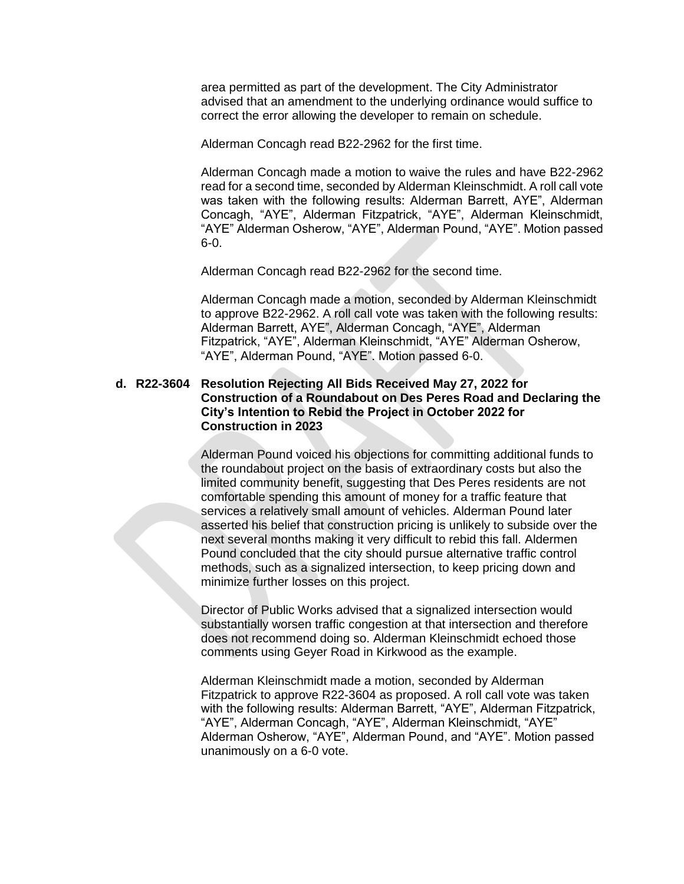area permitted as part of the development. The City Administrator advised that an amendment to the underlying ordinance would suffice to correct the error allowing the developer to remain on schedule.

Alderman Concagh read B22-2962 for the first time.

Alderman Concagh made a motion to waive the rules and have B22-2962 read for a second time, seconded by Alderman Kleinschmidt. A roll call vote was taken with the following results: Alderman Barrett, AYE", Alderman Concagh, "AYE", Alderman Fitzpatrick, "AYE", Alderman Kleinschmidt, "AYE" Alderman Osherow, "AYE", Alderman Pound, "AYE". Motion passed 6-0.

Alderman Concagh read B22-2962 for the second time.

Alderman Concagh made a motion, seconded by Alderman Kleinschmidt to approve B22-2962. A roll call vote was taken with the following results: Alderman Barrett, AYE", Alderman Concagh, "AYE", Alderman Fitzpatrick, "AYE", Alderman Kleinschmidt, "AYE" Alderman Osherow, "AYE", Alderman Pound, "AYE". Motion passed 6-0.

### **d. R22-3604 Resolution Rejecting All Bids Received May 27, 2022 for Construction of a Roundabout on Des Peres Road and Declaring the City's Intention to Rebid the Project in October 2022 for Construction in 2023**

Alderman Pound voiced his objections for committing additional funds to the roundabout project on the basis of extraordinary costs but also the limited community benefit, suggesting that Des Peres residents are not comfortable spending this amount of money for a traffic feature that services a relatively small amount of vehicles. Alderman Pound later asserted his belief that construction pricing is unlikely to subside over the next several months making it very difficult to rebid this fall. Aldermen Pound concluded that the city should pursue alternative traffic control methods, such as a signalized intersection, to keep pricing down and minimize further losses on this project.

Director of Public Works advised that a signalized intersection would substantially worsen traffic congestion at that intersection and therefore does not recommend doing so. Alderman Kleinschmidt echoed those comments using Geyer Road in Kirkwood as the example.

Alderman Kleinschmidt made a motion, seconded by Alderman Fitzpatrick to approve R22-3604 as proposed. A roll call vote was taken with the following results: Alderman Barrett, "AYE", Alderman Fitzpatrick, "AYE", Alderman Concagh, "AYE", Alderman Kleinschmidt, "AYE" Alderman Osherow, "AYE", Alderman Pound, and "AYE". Motion passed unanimously on a 6-0 vote.